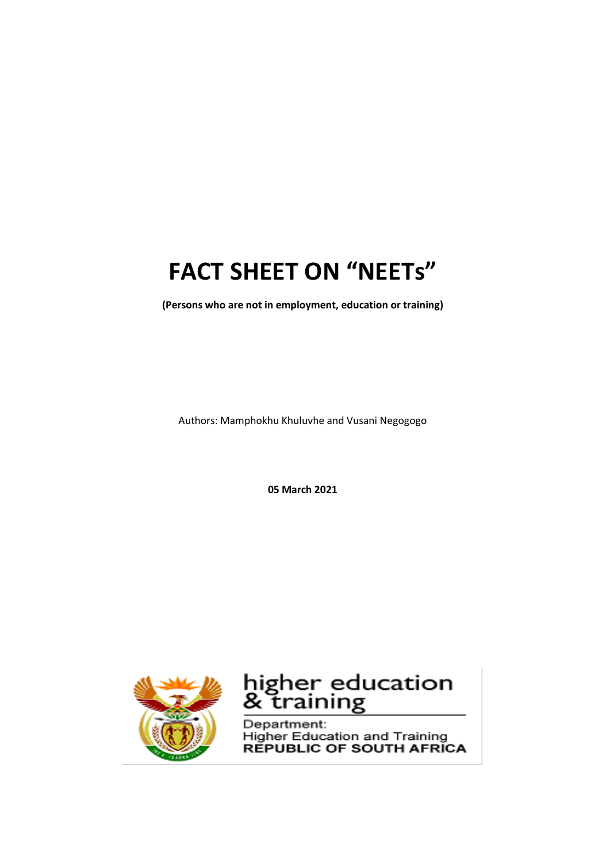### **FACT SHEET ON "NEETs"**

**(Persons who are not in employment, education or training)**

Authors: Mamphokhu Khuluvhe and Vusani Negogogo

**05 March 2021**



## higher education<br>& training

Department: **Higher Education and Training REPUBLIC OF SOUTH AFRICA**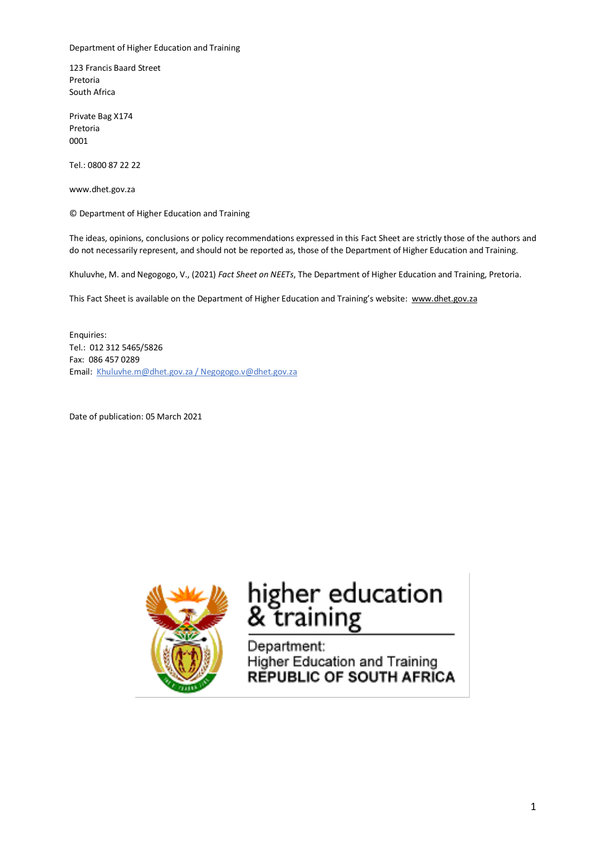Department of Higher Education and Training

123 Francis Baard Street Pretoria South Africa

Private Bag X174 Pretoria 0001

Tel.: 0800 87 22 22

www.dhet.gov.za

© Department of Higher Education and Training

The ideas, opinions, conclusions or policy recommendations expressed in this Fact Sheet are strictly those of the authors and do not necessarily represent, and should not be reported as, those of the Department of Higher Education and Training.

Khuluvhe, M. and Negogogo, V., (2021) *Fact Sheet on NEETs*, The Department of Higher Education and Training, Pretoria.

This Fact Sheet is available on the Department of Higher Education and Training's website: www.dhet.gov.za

Enquiries: Tel.: 012 312 5465/5826 Fax: 086 457 0289 Email: Khuluvhe.m@dhet.gov.za / Negogogo.v@dhet.gov.za

Date of publication: 05 March 2021



# higher education<br>& training

Department: Higher Education and Training **REPUBLIC OF SOUTH AFRICA**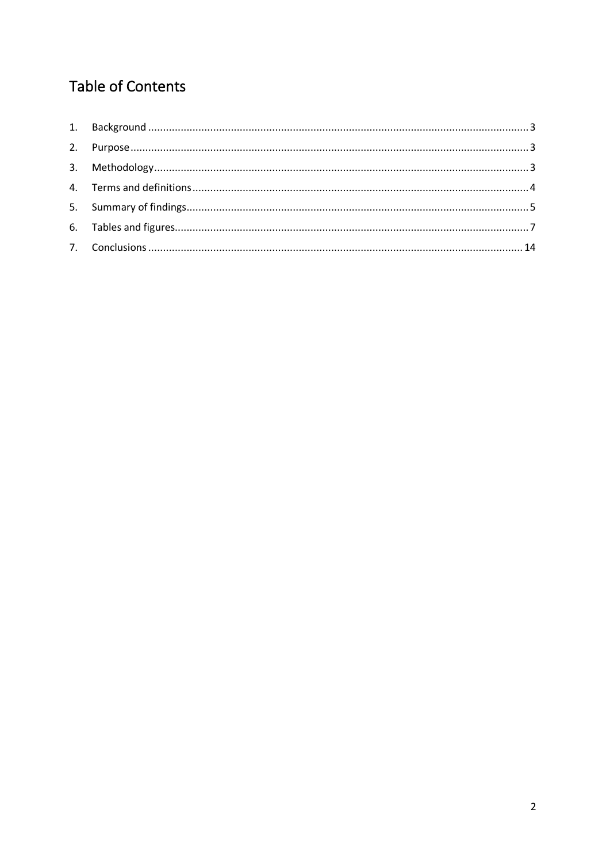#### **Table of Contents**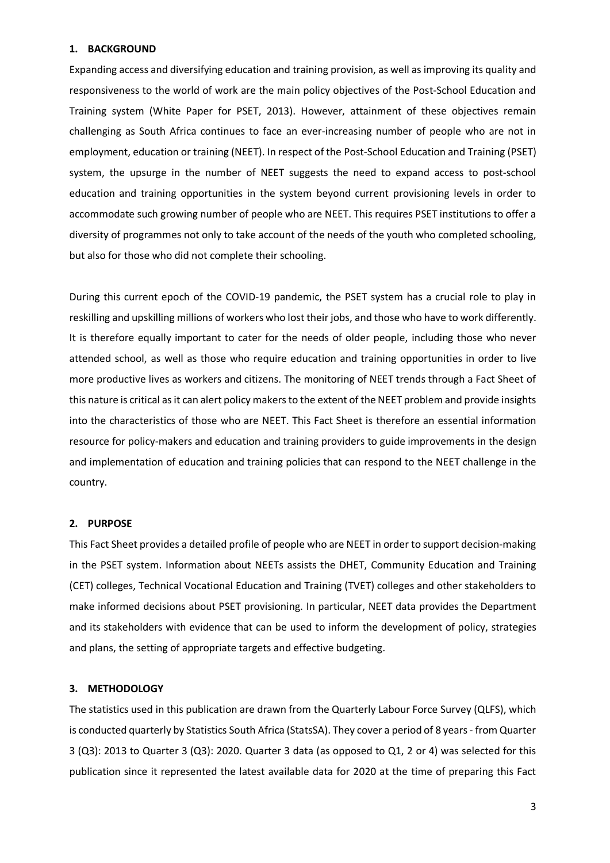#### **1. BACKGROUND**

Expanding access and diversifying education and training provision, as well as improving its quality and responsiveness to the world of work are the main policy objectives of the Post-School Education and Training system (White Paper for PSET, 2013). However, attainment of these objectives remain challenging as South Africa continues to face an ever-increasing number of people who are not in employment, education or training (NEET). In respect of the Post-School Education and Training (PSET) system, the upsurge in the number of NEET suggests the need to expand access to post-school education and training opportunities in the system beyond current provisioning levels in order to accommodate such growing number of people who are NEET. This requires PSET institutions to offer a diversity of programmes not only to take account of the needs of the youth who completed schooling, but also for those who did not complete their schooling.

During this current epoch of the COVID-19 pandemic, the PSET system has a crucial role to play in reskilling and upskilling millions of workers who lost their jobs, and those who have to work differently. It is therefore equally important to cater for the needs of older people, including those who never attended school, as well as those who require education and training opportunities in order to live more productive lives as workers and citizens. The monitoring of NEET trends through a Fact Sheet of this nature is critical as it can alert policy makers to the extent of the NEET problem and provide insights into the characteristics of those who are NEET. This Fact Sheet is therefore an essential information resource for policy-makers and education and training providers to guide improvements in the design and implementation of education and training policies that can respond to the NEET challenge in the country.

#### **2. PURPOSE**

This Fact Sheet provides a detailed profile of people who are NEET in order to support decision-making in the PSET system. Information about NEETs assists the DHET, Community Education and Training (CET) colleges, Technical Vocational Education and Training (TVET) colleges and other stakeholders to make informed decisions about PSET provisioning. In particular, NEET data provides the Department and its stakeholders with evidence that can be used to inform the development of policy, strategies and plans, the setting of appropriate targets and effective budgeting.

#### **3. METHODOLOGY**

The statistics used in this publication are drawn from the Quarterly Labour Force Survey (QLFS), which is conducted quarterly by Statistics South Africa (StatsSA). They cover a period of 8 years - from Quarter 3 (Q3): 2013 to Quarter 3 (Q3): 2020. Quarter 3 data (as opposed to Q1, 2 or 4) was selected for this publication since it represented the latest available data for 2020 at the time of preparing this Fact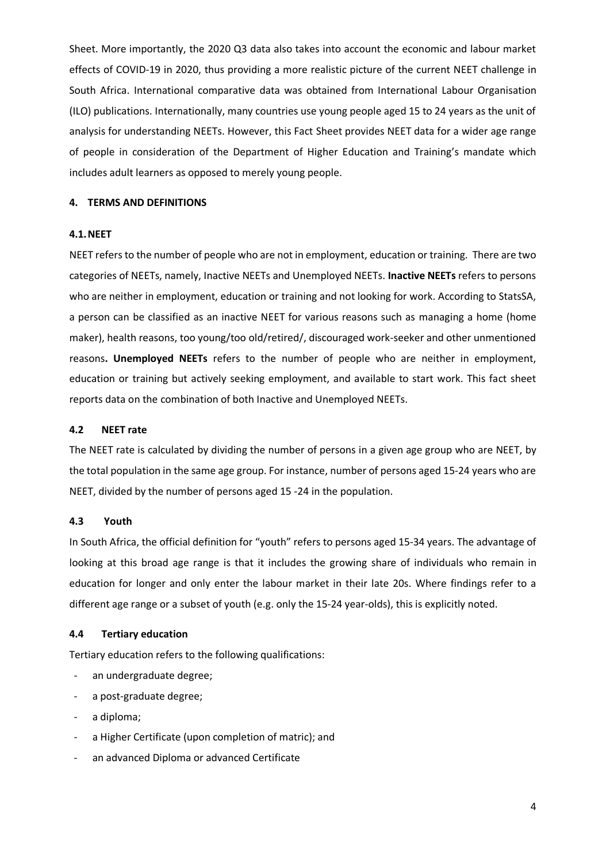Sheet. More importantly, the 2020 Q3 data also takes into account the economic and labour market effects of COVID-19 in 2020, thus providing a more realistic picture of the current NEET challenge in South Africa. International comparative data was obtained from International Labour Organisation (ILO) publications. Internationally, many countries use young people aged 15 to 24 years as the unit of analysis for understanding NEETs. However, this Fact Sheet provides NEET data for a wider age range of people in consideration of the Department of Higher Education and Training's mandate which includes adult learners as opposed to merely young people.

#### **4. TERMS AND DEFINITIONS**

#### **4.1.NEET**

NEET refers to the number of people who are not in employment, education or training. There are two categories of NEETs, namely, Inactive NEETs and Unemployed NEETs. **Inactive NEETs** refers to persons who are neither in employment, education or training and not looking for work. According to StatsSA, a person can be classified as an inactive NEET for various reasons such as managing a home (home maker), health reasons, too young/too old/retired/, discouraged work-seeker and other unmentioned reasons**. Unemployed NEETs** refers to the number of people who are neither in employment, education or training but actively seeking employment, and available to start work. This fact sheet reports data on the combination of both Inactive and Unemployed NEETs.

#### **4.2 NEET rate**

The NEET rate is calculated by dividing the number of persons in a given age group who are NEET, by the total population in the same age group. For instance, number of persons aged 15-24 years who are NEET, divided by the number of persons aged 15 -24 in the population.

#### **4.3 Youth**

In South Africa, the official definition for "youth" refers to persons aged 15-34 years. The advantage of looking at this broad age range is that it includes the growing share of individuals who remain in education for longer and only enter the labour market in their late 20s. Where findings refer to a different age range or a subset of youth (e.g. only the 15-24 year-olds), this is explicitly noted.

#### **4.4 Tertiary education**

Tertiary education refers to the following qualifications:

- an undergraduate degree;
- a post-graduate degree;
- a diploma;
- a Higher Certificate (upon completion of matric); and
- an advanced Diploma or advanced Certificate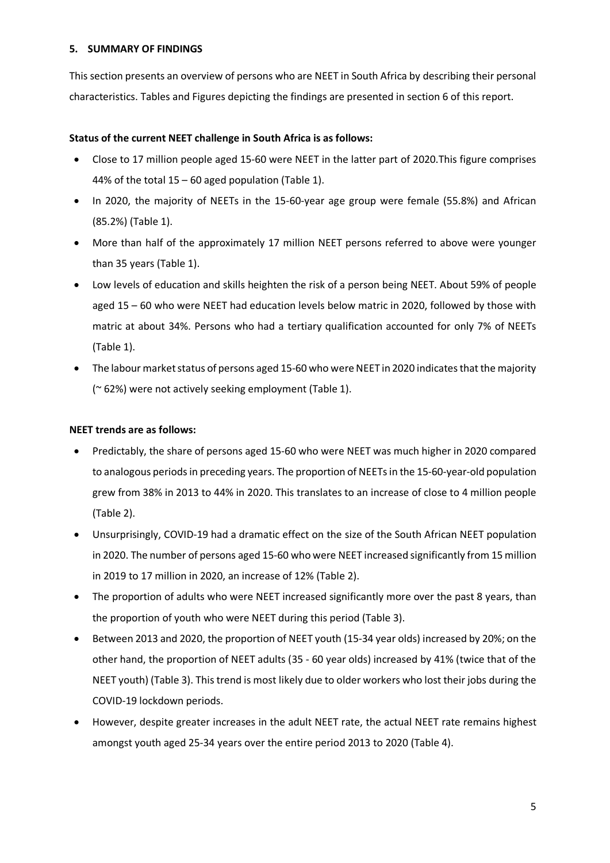#### **5. SUMMARY OF FINDINGS**

This section presents an overview of persons who are NEET in South Africa by describing their personal characteristics. Tables and Figures depicting the findings are presented in section 6 of this report.

#### **Status of the current NEET challenge in South Africa is as follows:**

- Close to 17 million people aged 15-60 were NEET in the latter part of 2020.This figure comprises 44% of the total 15 – 60 aged population (Table 1).
- In 2020, the majority of NEETs in the 15-60-year age group were female (55.8%) and African (85.2%) (Table 1).
- More than half of the approximately 17 million NEET persons referred to above were younger than 35 years (Table 1).
- Low levels of education and skills heighten the risk of a person being NEET. About 59% of people aged 15 – 60 who were NEET had education levels below matric in 2020, followed by those with matric at about 34%. Persons who had a tertiary qualification accounted for only 7% of NEETs (Table 1).
- The labour market status of persons aged 15-60 who were NEET in 2020 indicates that the majority (~ 62%) were not actively seeking employment (Table 1).

#### **NEET trends are as follows:**

- Predictably, the share of persons aged 15-60 who were NEET was much higher in 2020 compared to analogous periods in preceding years. The proportion of NEETs in the 15-60-year-old population grew from 38% in 2013 to 44% in 2020. This translates to an increase of close to 4 million people (Table 2).
- Unsurprisingly, COVID-19 had a dramatic effect on the size of the South African NEET population in 2020. The number of persons aged 15-60 who were NEET increased significantly from 15 million in 2019 to 17 million in 2020, an increase of 12% (Table 2).
- The proportion of adults who were NEET increased significantly more over the past 8 years, than the proportion of youth who were NEET during this period (Table 3).
- Between 2013 and 2020, the proportion of NEET youth (15-34 year olds) increased by 20%; on the other hand, the proportion of NEET adults (35 - 60 year olds) increased by 41% (twice that of the NEET youth) (Table 3). This trend is most likely due to older workers who lost their jobs during the COVID-19 lockdown periods.
- However, despite greater increases in the adult NEET rate, the actual NEET rate remains highest amongst youth aged 25-34 years over the entire period 2013 to 2020 (Table 4).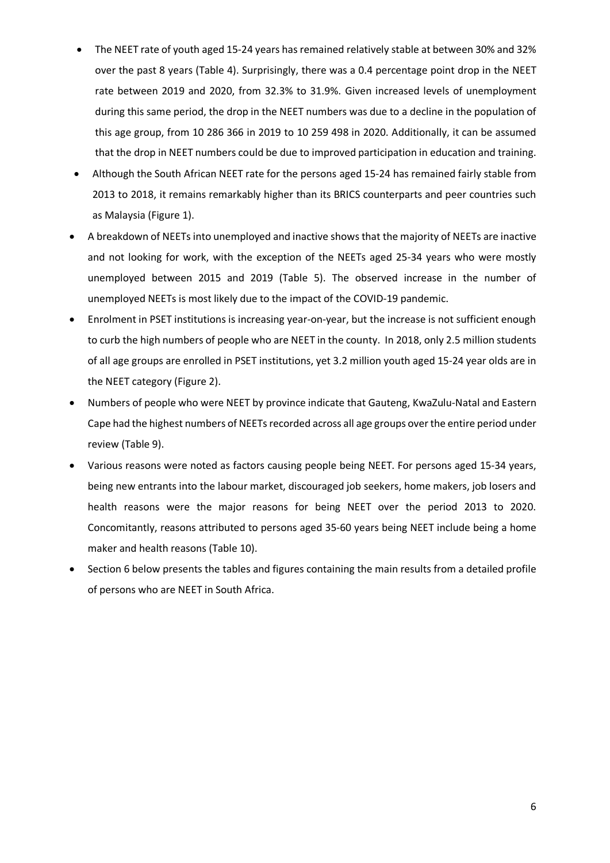- The NEET rate of youth aged 15-24 years has remained relatively stable at between 30% and 32% over the past 8 years (Table 4). Surprisingly, there was a 0.4 percentage point drop in the NEET rate between 2019 and 2020, from 32.3% to 31.9%. Given increased levels of unemployment during this same period, the drop in the NEET numbers was due to a decline in the population of this age group, from 10 286 366 in 2019 to 10 259 498 in 2020. Additionally, it can be assumed that the drop in NEET numbers could be due to improved participation in education and training.
- Although the South African NEET rate for the persons aged 15-24 has remained fairly stable from 2013 to 2018, it remains remarkably higher than its BRICS counterparts and peer countries such as Malaysia (Figure 1).
- A breakdown of NEETs into unemployed and inactive shows that the majority of NEETs are inactive and not looking for work, with the exception of the NEETs aged 25-34 years who were mostly unemployed between 2015 and 2019 (Table 5). The observed increase in the number of unemployed NEETs is most likely due to the impact of the COVID-19 pandemic.
- Enrolment in PSET institutions is increasing year-on-year, but the increase is not sufficient enough to curb the high numbers of people who are NEET in the county. In 2018, only 2.5 million students of all age groups are enrolled in PSET institutions, yet 3.2 million youth aged 15-24 year olds are in the NEET category (Figure 2).
- Numbers of people who were NEET by province indicate that Gauteng, KwaZulu-Natal and Eastern Cape had the highest numbers of NEETs recorded across all age groups over the entire period under review (Table 9).
- Various reasons were noted as factors causing people being NEET. For persons aged 15-34 years, being new entrants into the labour market, discouraged job seekers, home makers, job losers and health reasons were the major reasons for being NEET over the period 2013 to 2020. Concomitantly, reasons attributed to persons aged 35-60 years being NEET include being a home maker and health reasons (Table 10).
- Section 6 below presents the tables and figures containing the main results from a detailed profile of persons who are NEET in South Africa.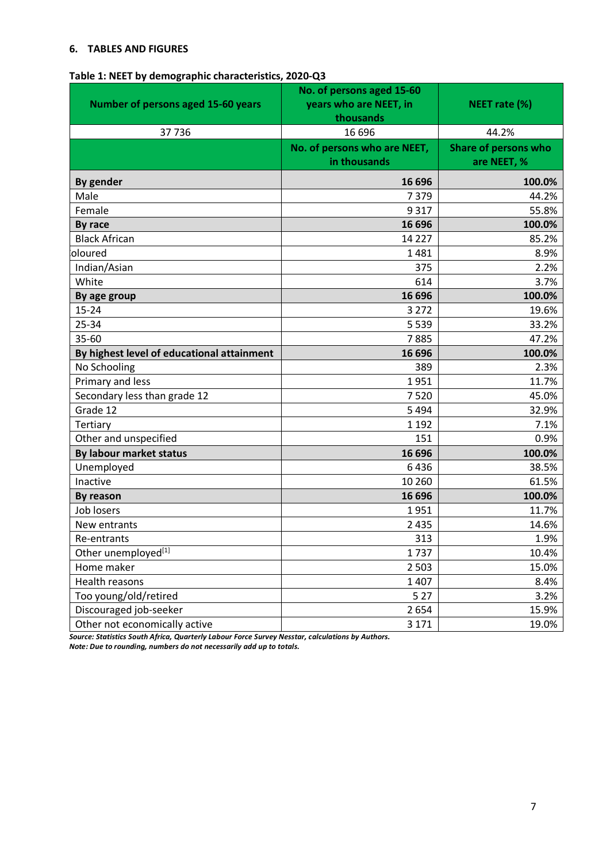#### **6. TABLES AND FIGURES**

| Table 1: NEET by demographic characteristics, 2020-Q3 |  |  |  |
|-------------------------------------------------------|--|--|--|
|-------------------------------------------------------|--|--|--|

| <b>Number of persons aged 15-60 years</b>  | No. of persons aged 15-60<br>years who are NEET, in<br>thousands | NEET rate (%)                              |
|--------------------------------------------|------------------------------------------------------------------|--------------------------------------------|
| 37736                                      | 16 696                                                           | 44.2%                                      |
|                                            | No. of persons who are NEET,<br>in thousands                     | <b>Share of persons who</b><br>are NEET, % |
| By gender                                  | 16 696                                                           | 100.0%                                     |
| Male                                       | 7379                                                             | 44.2%                                      |
| Female                                     | 9 3 1 7                                                          | 55.8%                                      |
| By race                                    | 16 696                                                           | 100.0%                                     |
| <b>Black African</b>                       | 14 2 2 7                                                         | 85.2%                                      |
| oloured                                    | 1481                                                             | 8.9%                                       |
| Indian/Asian                               | 375                                                              | 2.2%                                       |
| White                                      | 614                                                              | 3.7%                                       |
| By age group                               | 16 696                                                           | 100.0%                                     |
| $15 - 24$                                  | 3 2 7 2                                                          | 19.6%                                      |
| 25-34                                      | 5 5 3 9                                                          | 33.2%                                      |
| 35-60                                      | 7885                                                             | 47.2%                                      |
| By highest level of educational attainment | 16 696                                                           | 100.0%                                     |
| No Schooling                               | 389                                                              | 2.3%                                       |
| Primary and less                           | 1951                                                             | 11.7%                                      |
| Secondary less than grade 12               | 7520                                                             | 45.0%                                      |
| Grade 12                                   | 5 4 9 4                                                          | 32.9%                                      |
| Tertiary                                   | 1 1 9 2                                                          | 7.1%                                       |
| Other and unspecified                      | 151                                                              | 0.9%                                       |
| By labour market status                    | 16 696                                                           | 100.0%                                     |
| Unemployed                                 | 6436                                                             | 38.5%                                      |
| Inactive                                   | 10 260                                                           | 61.5%                                      |
| By reason                                  | 16 696                                                           | 100.0%                                     |
| Job losers                                 | 1951                                                             | 11.7%                                      |
| New entrants                               | 2 4 3 5                                                          | 14.6%                                      |
| Re-entrants                                | 313                                                              | 1.9%                                       |
| Other unemployed[1]                        | 1737                                                             | 10.4%                                      |
| Home maker                                 | 2 5 0 3                                                          | 15.0%                                      |
| Health reasons                             | 1 4 0 7                                                          | 8.4%                                       |
| Too young/old/retired                      | 5 2 7                                                            | 3.2%                                       |
| Discouraged job-seeker                     | 2654                                                             | 15.9%                                      |
| Other not economically active              | 3 1 7 1                                                          | 19.0%                                      |

*Source: Statistics South Africa, Quarterly Labour Force Survey Nesstar, calculations by Authors.* 

*Note: Due to rounding, numbers do not necessarily add up to totals.*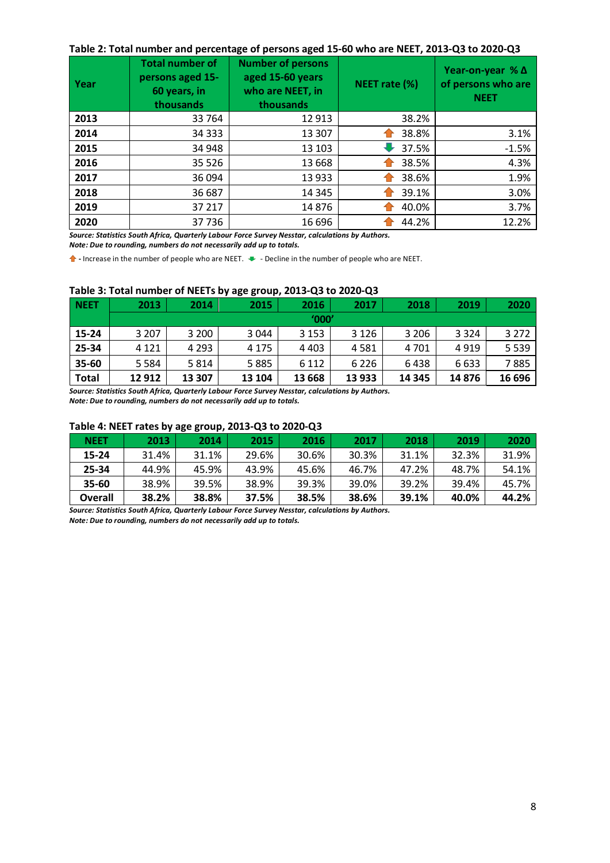#### **Table 2: Total number and percentage of persons aged 15-60 who are NEET, 2013-Q3 to 2020-Q3**

| Year | <b>Total number of</b><br>persons aged 15-<br>60 years, in<br>thousands | <b>Number of persons</b><br>aged 15-60 years<br>who are NEET, in<br>thousands | NEET rate (%) | Year-on-year $%$ $\Delta$<br>of persons who are<br><b>NEET</b> |
|------|-------------------------------------------------------------------------|-------------------------------------------------------------------------------|---------------|----------------------------------------------------------------|
| 2013 | 33 764                                                                  | 12 913                                                                        | 38.2%         |                                                                |
| 2014 | 34 3 33                                                                 | 13 307                                                                        | 38.8%         | 3.1%                                                           |
| 2015 | 34 948                                                                  | 13 103                                                                        | 37.5%         | $-1.5%$                                                        |
| 2016 | 35 5 26                                                                 | 13 6 68                                                                       | 38.5%         | 4.3%                                                           |
| 2017 | 36 094                                                                  | 13 933                                                                        | 38.6%         | 1.9%                                                           |
| 2018 | 36 687                                                                  | 14 3 45                                                                       | 39.1%         | 3.0%                                                           |
| 2019 | 37 217                                                                  | 14876                                                                         | 40.0%         | 3.7%                                                           |
| 2020 | 37736                                                                   | 16 696                                                                        | 44.2%         | 12.2%                                                          |

*Source: Statistics South Africa, Quarterly Labour Force Survey Nesstar, calculations by Authors.* 

*Note: Due to rounding, numbers do not necessarily add up to totals.*

**1** - Increase in the number of people who are NEET.  $\bullet$  - Decline in the number of people who are NEET.

#### **Table 3: Total number of NEETs by age group, 2013-Q3 to 2020-Q3**

| <b>NEET</b>  | 2013    | 2014    | 2015    | 2016    | 2017    | 2018    | 2019    | 2020    |
|--------------|---------|---------|---------|---------|---------|---------|---------|---------|
|              |         |         |         | '000'   |         |         |         |         |
| 15-24        | 3 2 0 7 | 3 2 0 0 | 3 0 4 4 | 3 1 5 3 | 3 1 2 6 | 3 2 0 6 | 3 3 2 4 | 3 2 7 2 |
| 25-34        | 4 1 2 1 | 4 2 9 3 | 4 1 7 5 | 4 4 0 3 | 4581    | 4 701   | 4919    | 5 5 3 9 |
| 35-60        | 5 5 8 4 | 5814    | 5885    | 6 1 1 2 | 6 2 2 6 | 6438    | 6633    | 7885    |
| <b>Total</b> | 12 912  | 13 307  | 13 104  | 13 6 68 | 13 933  | 14 3 45 | 14876   | 16 696  |

*Source: Statistics South Africa, Quarterly Labour Force Survey Nesstar, calculations by Authors. Note: Due to rounding, numbers do not necessarily add up to totals.*

#### **Table 4: NEET rates by age group, 2013-Q3 to 2020-Q3**

| <b>NEET</b>    | 2013  | 2014  | 2015  | 2016  | 2017  | 2018  | 2019  | 2020  |
|----------------|-------|-------|-------|-------|-------|-------|-------|-------|
| 15-24          | 31.4% | 31.1% | 29.6% | 30.6% | 30.3% | 31.1% | 32.3% | 31.9% |
| $25 - 34$      | 44.9% | 45.9% | 43.9% | 45.6% | 46.7% | 47.2% | 48.7% | 54.1% |
| $35 - 60$      | 38.9% | 39.5% | 38.9% | 39.3% | 39.0% | 39.2% | 39.4% | 45.7% |
| <b>Overall</b> | 38.2% | 38.8% | 37.5% | 38.5% | 38.6% | 39.1% | 40.0% | 44.2% |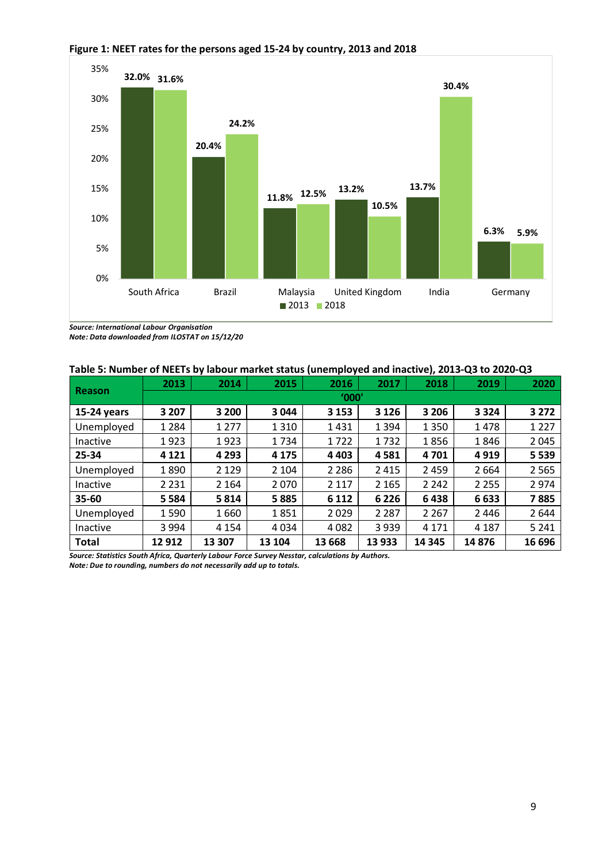

#### **Figure 1: NEET rates for the persons aged 15-24 by country, 2013 and 2018**

*Source: International Labour Organisation*

*Note: Data downloaded from ILOSTAT on 15/12/20*

|  |  | Table 5: Number of NEETs by labour market status (unemployed and inactive), 2013-Q3 to 2020-Q3 |
|--|--|------------------------------------------------------------------------------------------------|
|--|--|------------------------------------------------------------------------------------------------|

| <b>Reason</b> | 2013    | 2014    | 2015    | 2016    | 2017    | 2018    | 2019    | 2020    |  |  |  |  |
|---------------|---------|---------|---------|---------|---------|---------|---------|---------|--|--|--|--|
|               |         | '000'   |         |         |         |         |         |         |  |  |  |  |
| $15-24$ years | 3 2 0 7 | 3 2 0 0 | 3 0 4 4 | 3 1 5 3 | 3 1 2 6 | 3 2 0 6 | 3 3 2 4 | 3 2 7 2 |  |  |  |  |
| Unemployed    | 1 2 8 4 | 1 2 7 7 | 1310    | 1431    | 1 3 9 4 | 1 3 5 0 | 1478    | 1 2 2 7 |  |  |  |  |
| Inactive      | 1923    | 1923    | 1734    | 1722    | 1732    | 1856    | 1846    | 2045    |  |  |  |  |
| 25-34         | 4 1 2 1 | 4 2 9 3 | 4 1 7 5 | 4 4 0 3 | 4581    | 4701    | 4919    | 5 5 3 9 |  |  |  |  |
| Unemployed    | 1890    | 2 1 2 9 | 2 1 0 4 | 2 2 8 6 | 2 4 1 5 | 2 4 5 9 | 2 6 6 4 | 2 5 6 5 |  |  |  |  |
| Inactive      | 2 2 3 1 | 2 1 6 4 | 2070    | 2 1 1 7 | 2 1 6 5 | 2 2 4 2 | 2 2 5 5 | 2974    |  |  |  |  |
| $35 - 60$     | 5 5 8 4 | 5814    | 5885    | 6 1 1 2 | 6 2 2 6 | 6438    | 6633    | 7885    |  |  |  |  |
| Unemployed    | 1590    | 1660    | 1851    | 2029    | 2 2 8 7 | 2 2 6 7 | 2 4 4 6 | 2644    |  |  |  |  |
| Inactive      | 3 9 9 4 | 4 1 5 4 | 4034    | 4082    | 3 9 3 9 | 4 1 7 1 | 4 1 8 7 | 5 2 4 1 |  |  |  |  |
| <b>Total</b>  | 12912   | 13 307  | 13 104  | 13 6 68 | 13 933  | 14 3 45 | 14876   | 16 696  |  |  |  |  |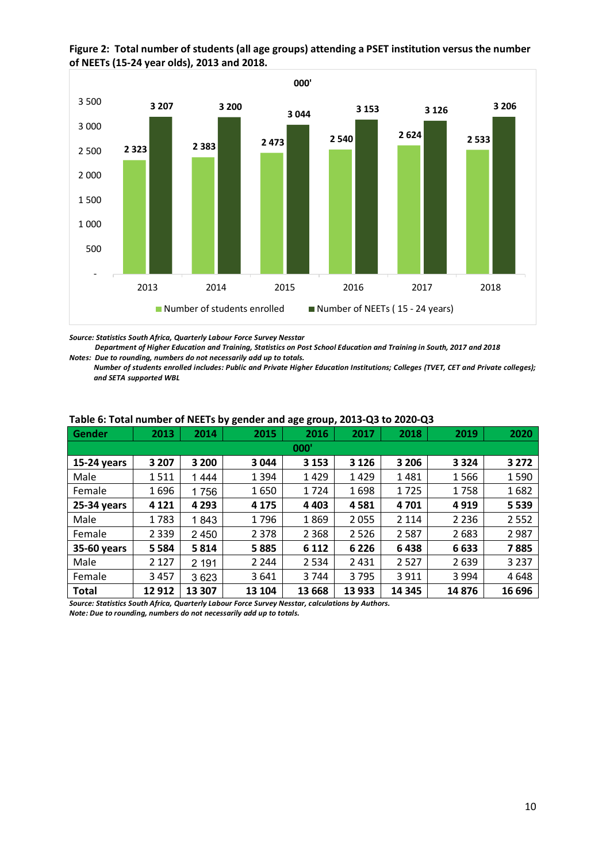

**Figure 2: Total number of students (all age groups) attending a PSET institution versus the number of NEETs (15-24 year olds), 2013 and 2018.** 

*Source: Statistics South Africa, Quarterly Labour Force Survey Nesstar*

 *Department of Higher Education and Training, Statistics on Post School Education and Training in South, 2017 and 2018 Notes: Due to rounding, numbers do not necessarily add up to totals.*

*Number of students enrolled includes: Public and Private Higher Education Institutions; Colleges (TVET, CET and Private colleges); and SETA supported WBL*

| Gender        | 2013    | 2014    | 2015    | 2016    | 2017    | 2018    | 2019    | 2020    |  |  |  |
|---------------|---------|---------|---------|---------|---------|---------|---------|---------|--|--|--|
| 000'          |         |         |         |         |         |         |         |         |  |  |  |
| $15-24$ years | 3 2 0 7 | 3 2 0 0 | 3 0 4 4 | 3 1 5 3 | 3 1 2 6 | 3 2 0 6 | 3 3 2 4 | 3 2 7 2 |  |  |  |
| Male          | 1511    | 1444    | 1 3 9 4 | 1429    | 1429    | 1481    | 1566    | 1590    |  |  |  |
| Female        | 1696    | 1756    | 1650    | 1724    | 1698    | 1725    | 1758    | 1682    |  |  |  |
| 25-34 years   | 4 1 2 1 | 4 2 9 3 | 4 1 7 5 | 4 4 0 3 | 4581    | 4701    | 4919    | 5 5 3 9 |  |  |  |
| Male          | 1783    | 1843    | 1796    | 1869    | 2055    | 2 1 1 4 | 2 2 3 6 | 2552    |  |  |  |
| Female        | 2 3 3 9 | 2 4 5 0 | 2 3 7 8 | 2 3 6 8 | 2526    | 2587    | 2683    | 2987    |  |  |  |
| 35-60 years   | 5 5 8 4 | 5814    | 5885    | 6 1 1 2 | 6 2 2 6 | 6438    | 6633    | 7885    |  |  |  |
| Male          | 2 1 2 7 | 2 1 9 1 | 2 2 4 4 | 2 5 3 4 | 2 4 3 1 | 2527    | 2639    | 3 2 3 7 |  |  |  |
| Female        | 3 4 5 7 | 3623    | 3641    | 3744    | 3795    | 3911    | 3 9 9 4 | 4648    |  |  |  |
| Total         | 12 912  | 13 307  | 13 104  | 13 6 68 | 13 933  | 14 3 45 | 14876   | 16 696  |  |  |  |

#### **Table 6: Total number of NEETs by gender and age group, 2013-Q3 to 2020-Q3**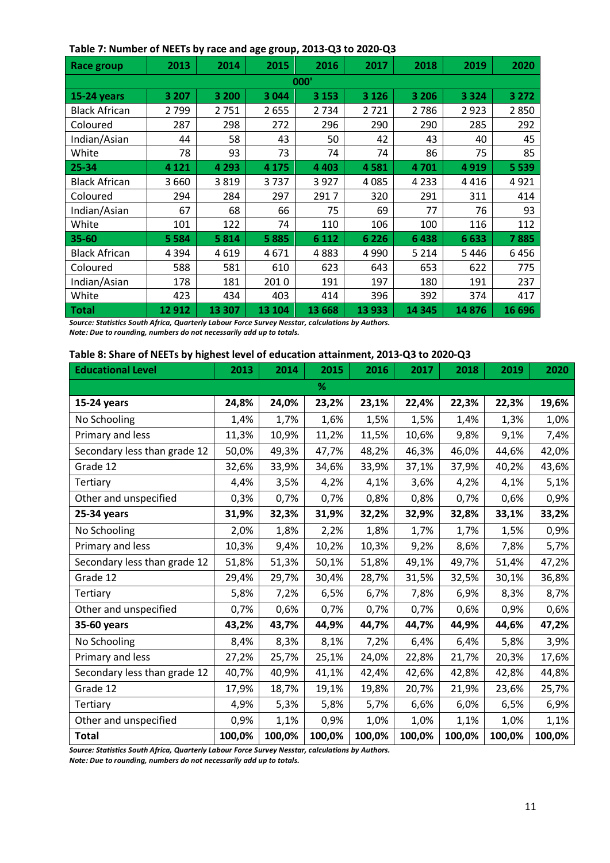|                      |         |         | - - <b>1</b> - |         |         |         |         |         |  |  |  |
|----------------------|---------|---------|----------------|---------|---------|---------|---------|---------|--|--|--|
| <b>Race group</b>    | 2013    | 2014    | 2015           | 2016    | 2017    | 2018    | 2019    | 2020    |  |  |  |
| 000'                 |         |         |                |         |         |         |         |         |  |  |  |
| 15-24 years          | 3 2 0 7 | 3 200   | 3 0 4 4        | 3 1 5 3 | 3 1 2 6 | 3 2 0 6 | 3 3 2 4 | 3 2 7 2 |  |  |  |
| <b>Black African</b> | 2799    | 2751    | 2655           | 2 7 3 4 | 2721    | 2786    | 2923    | 2850    |  |  |  |
| Coloured             | 287     | 298     | 272            | 296     | 290     | 290     | 285     | 292     |  |  |  |
| Indian/Asian         | 44      | 58      | 43             | 50      | 42      | 43      | 40      | 45      |  |  |  |
| White                | 78      | 93      | 73             | 74      | 74      | 86      | 75      | 85      |  |  |  |
| 25-34                | 4 1 2 1 | 4 2 9 3 | 4 1 7 5        | 4 4 0 3 | 4581    | 4701    | 4919    | 5 5 3 9 |  |  |  |
| <b>Black African</b> | 3660    | 3819    | 3737           | 3927    | 4085    | 4 2 3 3 | 4416    | 4921    |  |  |  |
| Coloured             | 294     | 284     | 297            | 2917    | 320     | 291     | 311     | 414     |  |  |  |
| Indian/Asian         | 67      | 68      | 66             | 75      | 69      | 77      | 76      | 93      |  |  |  |
| White                | 101     | 122     | 74             | 110     | 106     | 100     | 116     | 112     |  |  |  |
| 35-60                | 5 5 8 4 | 5814    | 5885           | 6 1 1 2 | 6 2 2 6 | 6438    | 6633    | 7885    |  |  |  |
| <b>Black African</b> | 4 3 9 4 | 4619    | 4671           | 4883    | 4 9 9 0 | 5 2 1 4 | 5446    | 6456    |  |  |  |
| Coloured             | 588     | 581     | 610            | 623     | 643     | 653     | 622     | 775     |  |  |  |
| Indian/Asian         | 178     | 181     | 2010           | 191     | 197     | 180     | 191     | 237     |  |  |  |
| White                | 423     | 434     | 403            | 414     | 396     | 392     | 374     | 417     |  |  |  |
| Total                | 12 912  | 13 307  | 13 104         | 13 6 68 | 13 933  | 14 3 45 | 14876   | 16 696  |  |  |  |

#### **Table 7: Number of NEETs by race and age group, 2013-Q3 to 2020-Q3**

*Source: Statistics South Africa, Quarterly Labour Force Survey Nesstar, calculations by Authors. Note: Due to rounding, numbers do not necessarily add up to totals.*

#### **Table 8: Share of NEETs by highest level of education attainment, 2013-Q3 to 2020-Q3**

| <b>Educational Level</b>     | 2013   | 2014   | 2015   | 2016   | 2017   | 2018   | 2019   | 2020   |
|------------------------------|--------|--------|--------|--------|--------|--------|--------|--------|
|                              |        |        | %      |        |        |        |        |        |
| 15-24 years                  | 24,8%  | 24,0%  | 23,2%  | 23,1%  | 22,4%  | 22,3%  | 22,3%  | 19,6%  |
| No Schooling                 | 1,4%   | 1,7%   | 1,6%   | 1,5%   | 1,5%   | 1,4%   | 1,3%   | 1,0%   |
| Primary and less             | 11,3%  | 10,9%  | 11,2%  | 11,5%  | 10,6%  | 9,8%   | 9,1%   | 7,4%   |
| Secondary less than grade 12 | 50,0%  | 49,3%  | 47,7%  | 48,2%  | 46,3%  | 46,0%  | 44,6%  | 42,0%  |
| Grade 12                     | 32,6%  | 33,9%  | 34,6%  | 33,9%  | 37,1%  | 37,9%  | 40,2%  | 43,6%  |
| Tertiary                     | 4,4%   | 3,5%   | 4,2%   | 4,1%   | 3,6%   | 4,2%   | 4,1%   | 5,1%   |
| Other and unspecified        | 0,3%   | 0,7%   | 0,7%   | 0,8%   | 0,8%   | 0,7%   | 0,6%   | 0,9%   |
| 25-34 years                  | 31,9%  | 32,3%  | 31,9%  | 32,2%  | 32,9%  | 32,8%  | 33,1%  | 33,2%  |
| No Schooling                 | 2,0%   | 1,8%   | 2,2%   | 1,8%   | 1,7%   | 1,7%   | 1,5%   | 0,9%   |
| Primary and less             | 10,3%  | 9,4%   | 10,2%  | 10,3%  | 9,2%   | 8,6%   | 7,8%   | 5,7%   |
| Secondary less than grade 12 | 51,8%  | 51,3%  | 50,1%  | 51,8%  | 49,1%  | 49,7%  | 51,4%  | 47,2%  |
| Grade 12                     | 29,4%  | 29,7%  | 30,4%  | 28,7%  | 31,5%  | 32,5%  | 30,1%  | 36,8%  |
| Tertiary                     | 5,8%   | 7,2%   | 6,5%   | 6,7%   | 7,8%   | 6,9%   | 8,3%   | 8,7%   |
| Other and unspecified        | 0,7%   | 0,6%   | 0,7%   | 0,7%   | 0,7%   | 0,6%   | 0,9%   | 0,6%   |
| 35-60 years                  | 43,2%  | 43,7%  | 44,9%  | 44,7%  | 44,7%  | 44,9%  | 44,6%  | 47,2%  |
| No Schooling                 | 8,4%   | 8,3%   | 8,1%   | 7,2%   | 6,4%   | 6,4%   | 5,8%   | 3,9%   |
| Primary and less             | 27,2%  | 25,7%  | 25,1%  | 24,0%  | 22,8%  | 21,7%  | 20,3%  | 17,6%  |
| Secondary less than grade 12 | 40,7%  | 40,9%  | 41,1%  | 42,4%  | 42,6%  | 42,8%  | 42,8%  | 44,8%  |
| Grade 12                     | 17,9%  | 18,7%  | 19,1%  | 19,8%  | 20,7%  | 21,9%  | 23,6%  | 25,7%  |
| Tertiary                     | 4,9%   | 5,3%   | 5,8%   | 5,7%   | 6,6%   | 6,0%   | 6,5%   | 6,9%   |
| Other and unspecified        | 0,9%   | 1,1%   | 0,9%   | 1,0%   | 1,0%   | 1,1%   | 1,0%   | 1,1%   |
| <b>Total</b>                 | 100,0% | 100,0% | 100,0% | 100,0% | 100,0% | 100,0% | 100,0% | 100,0% |

*Source: Statistics South Africa, Quarterly Labour Force Survey Nesstar, calculations by Authors.* 

*Note: Due to rounding, numbers do not necessarily add up to totals.*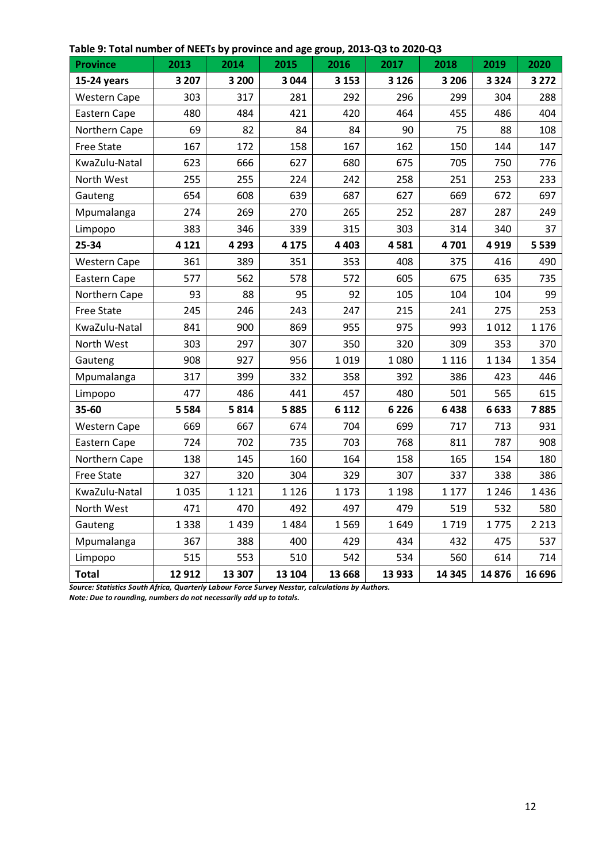| <b>Province</b>     | 2013    | 2014    | 2015    | 2016    | 2017    | 2018    | 2019    | 2020    |
|---------------------|---------|---------|---------|---------|---------|---------|---------|---------|
| 15-24 years         | 3 2 0 7 | 3 200   | 3 0 4 4 | 3 1 5 3 | 3 1 2 6 | 3 2 0 6 | 3 3 2 4 | 3 2 7 2 |
| <b>Western Cape</b> | 303     | 317     | 281     | 292     | 296     | 299     | 304     | 288     |
| Eastern Cape        | 480     | 484     | 421     | 420     | 464     | 455     | 486     | 404     |
| Northern Cape       | 69      | 82      | 84      | 84      | 90      | 75      | 88      | 108     |
| <b>Free State</b>   | 167     | 172     | 158     | 167     | 162     | 150     | 144     | 147     |
| KwaZulu-Natal       | 623     | 666     | 627     | 680     | 675     | 705     | 750     | 776     |
| North West          | 255     | 255     | 224     | 242     | 258     | 251     | 253     | 233     |
| Gauteng             | 654     | 608     | 639     | 687     | 627     | 669     | 672     | 697     |
| Mpumalanga          | 274     | 269     | 270     | 265     | 252     | 287     | 287     | 249     |
| Limpopo             | 383     | 346     | 339     | 315     | 303     | 314     | 340     | 37      |
| 25-34               | 4 1 2 1 | 4 2 9 3 | 4 1 7 5 | 4 4 0 3 | 4581    | 4701    | 4919    | 5 5 3 9 |
| <b>Western Cape</b> | 361     | 389     | 351     | 353     | 408     | 375     | 416     | 490     |
| Eastern Cape        | 577     | 562     | 578     | 572     | 605     | 675     | 635     | 735     |
| Northern Cape       | 93      | 88      | 95      | 92      | 105     | 104     | 104     | 99      |
| <b>Free State</b>   | 245     | 246     | 243     | 247     | 215     | 241     | 275     | 253     |
| KwaZulu-Natal       | 841     | 900     | 869     | 955     | 975     | 993     | 1012    | 1 1 7 6 |
| North West          | 303     | 297     | 307     | 350     | 320     | 309     | 353     | 370     |
| Gauteng             | 908     | 927     | 956     | 1019    | 1080    | 1 1 1 6 | 1 1 3 4 | 1 3 5 4 |
| Mpumalanga          | 317     | 399     | 332     | 358     | 392     | 386     | 423     | 446     |
| Limpopo             | 477     | 486     | 441     | 457     | 480     | 501     | 565     | 615     |
| 35-60               | 5 5 8 4 | 5814    | 5885    | 6 1 1 2 | 6 2 2 6 | 6438    | 6633    | 7885    |
| <b>Western Cape</b> | 669     | 667     | 674     | 704     | 699     | 717     | 713     | 931     |
| Eastern Cape        | 724     | 702     | 735     | 703     | 768     | 811     | 787     | 908     |
| Northern Cape       | 138     | 145     | 160     | 164     | 158     | 165     | 154     | 180     |
| <b>Free State</b>   | 327     | 320     | 304     | 329     | 307     | 337     | 338     | 386     |
| KwaZulu-Natal       | 1035    | 1 1 2 1 | 1 1 2 6 | 1 1 7 3 | 1 1 9 8 | 1 1 7 7 | 1 2 4 6 | 1436    |
| North West          | 471     | 470     | 492     | 497     | 479     | 519     | 532     | 580     |
| Gauteng             | 1338    | 1439    | 1484    | 1569    | 1649    | 1719    | 1775    | 2 2 1 3 |
| Mpumalanga          | 367     | 388     | 400     | 429     | 434     | 432     | 475     | 537     |
| Limpopo             | 515     | 553     | 510     | 542     | 534     | 560     | 614     | 714     |
| <b>Total</b>        | 12 912  | 13 307  | 13 104  | 13 668  | 13 933  | 14 3 45 | 14876   | 16 696  |

#### **Table 9: Total number of NEETs by province and age group, 2013-Q3 to 2020-Q3**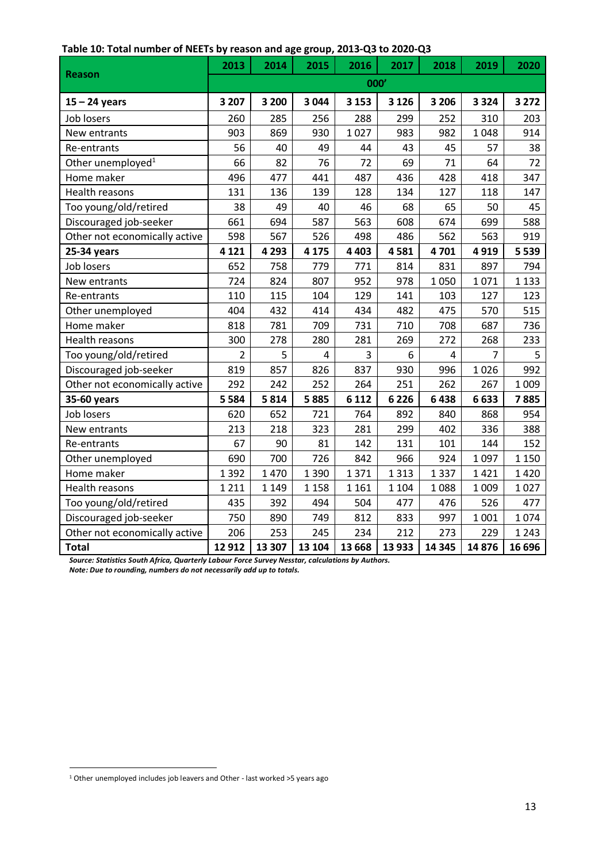|                               | 2013           | 2014    | 2015    | 2016    | 2017    | 2018                    | 2019    | 2020    |
|-------------------------------|----------------|---------|---------|---------|---------|-------------------------|---------|---------|
| <b>Reason</b>                 | 000'           |         |         |         |         |                         |         |         |
| $15 - 24$ years               | 3 2 0 7        | 3 200   | 3 0 4 4 | 3 1 5 3 | 3 1 2 6 | 3 2 0 6                 | 3 3 2 4 | 3 2 7 2 |
| Job losers                    | 260            | 285     | 256     | 288     | 299     | 252                     | 310     | 203     |
| New entrants                  | 903            | 869     | 930     | 1027    | 983     | 982                     | 1048    | 914     |
| Re-entrants                   | 56             | 40      | 49      | 44      | 43      | 45                      | 57      | 38      |
| Other unemployed <sup>1</sup> | 66             | 82      | 76      | 72      | 69      | 71                      | 64      | 72      |
| Home maker                    | 496            | 477     | 441     | 487     | 436     | 428                     | 418     | 347     |
| Health reasons                | 131            | 136     | 139     | 128     | 134     | 127                     | 118     | 147     |
| Too young/old/retired         | 38             | 49      | 40      | 46      | 68      | 65                      | 50      | 45      |
| Discouraged job-seeker        | 661            | 694     | 587     | 563     | 608     | 674                     | 699     | 588     |
| Other not economically active | 598            | 567     | 526     | 498     | 486     | 562                     | 563     | 919     |
| 25-34 years                   | 4 1 2 1        | 4 2 9 3 | 4 1 7 5 | 4 4 0 3 | 4581    | 4701                    | 4919    | 5 5 3 9 |
| Job losers                    | 652            | 758     | 779     | 771     | 814     | 831                     | 897     | 794     |
| New entrants                  | 724            | 824     | 807     | 952     | 978     | 1050                    | 1071    | 1 1 3 3 |
| Re-entrants                   | 110            | 115     | 104     | 129     | 141     | 103                     | 127     | 123     |
| Other unemployed              | 404            | 432     | 414     | 434     | 482     | 475                     | 570     | 515     |
| Home maker                    | 818            | 781     | 709     | 731     | 710     | 708                     | 687     | 736     |
| Health reasons                | 300            | 278     | 280     | 281     | 269     | 272                     | 268     | 233     |
| Too young/old/retired         | $\overline{2}$ | 5       | 4       | 3       | 6       | $\overline{\mathbf{4}}$ | 7       | 5       |
| Discouraged job-seeker        | 819            | 857     | 826     | 837     | 930     | 996                     | 1026    | 992     |
| Other not economically active | 292            | 242     | 252     | 264     | 251     | 262                     | 267     | 1 0 0 9 |
| 35-60 years                   | 5 5 8 4        | 5814    | 5885    | 6 1 1 2 | 6 2 2 6 | 6438                    | 6633    | 7885    |
| Job losers                    | 620            | 652     | 721     | 764     | 892     | 840                     | 868     | 954     |
| New entrants                  | 213            | 218     | 323     | 281     | 299     | 402                     | 336     | 388     |
| Re-entrants                   | 67             | 90      | 81      | 142     | 131     | 101                     | 144     | 152     |
| Other unemployed              | 690            | 700     | 726     | 842     | 966     | 924                     | 1097    | 1 1 5 0 |
| Home maker                    | 1392           | 1470    | 1 3 9 0 | 1371    | 1 3 1 3 | 1337                    | 1421    | 1420    |
| Health reasons                | 1 2 1 1        | 1 1 4 9 | 1 1 5 8 | 1 1 6 1 | 1 1 0 4 | 1088                    | 1 0 0 9 | 1027    |
| Too young/old/retired         | 435            | 392     | 494     | 504     | 477     | 476                     | 526     | 477     |
| Discouraged job-seeker        | 750            | 890     | 749     | 812     | 833     | 997                     | 1 0 0 1 | 1074    |
| Other not economically active | 206            | 253     | 245     | 234     | 212     | 273                     | 229     | 1 2 4 3 |
| <b>Total</b>                  | 12 9 12        | 13 307  | 13 104  | 13 6 68 | 13 933  | 14 3 45                 | 14876   | 16 696  |

 <sup>1</sup> Other unemployed includes job leavers and Other - last worked >5 years ago